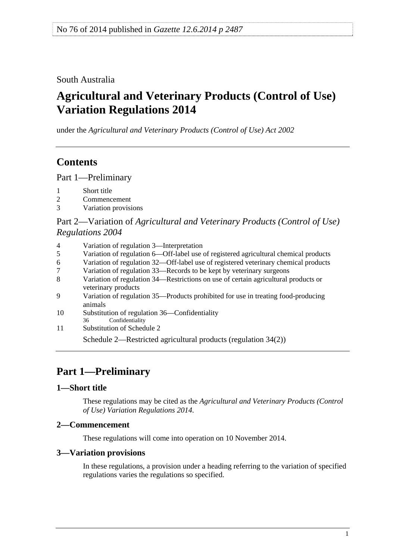<span id="page-0-0"></span>South Australia

# **Agricultural and Veterinary Products (Control of Use) Variation Regulations 2014**

under the *Agricultural and Veterinary Products (Control of Use) Act 2002*

# **Contents**

[Part 1—Preliminary](#page-0-0)

- [1 Short title](#page-0-0)
- [2 Commencement](#page-0-0)
- [3 Variation provisions](#page-0-0)

Part 2—Variation of *[Agricultural and Veterinary Products \(Control of Use\)](#page-1-0)  [Regulations 2004](#page-1-0)*

| 4  | Variation of regulation 3—Interpretation                                                                  |  |  |  |
|----|-----------------------------------------------------------------------------------------------------------|--|--|--|
| 5  | Variation of regulation 6—Off-label use of registered agricultural chemical products                      |  |  |  |
| 6  | Variation of regulation 32—Off-label use of registered veterinary chemical products                       |  |  |  |
| 7  | Variation of regulation 33—Records to be kept by veterinary surgeons                                      |  |  |  |
| 8  | Variation of regulation 34—Restrictions on use of certain agricultural products or<br>veterinary products |  |  |  |
| 9  | Variation of regulation 35—Products prohibited for use in treating food-producing<br>animals              |  |  |  |
| 10 | Substitution of regulation 36—Confidentiality<br>Confidentiality<br>36                                    |  |  |  |
| 11 | Substitution of Schedule 2                                                                                |  |  |  |
|    |                                                                                                           |  |  |  |

[Schedule 2—Restricted agricultural products \(regulation 34\(2\)\)](#page-0-0) 

# **Part 1—Preliminary**

## **1—Short title**

These regulations may be cited as the *Agricultural and Veterinary Products (Control of Use) Variation Regulations 2014*.

## **2—Commencement**

These regulations will come into operation on 10 November 2014.

### **3—Variation provisions**

In these regulations, a provision under a heading referring to the variation of specified regulations varies the regulations so specified.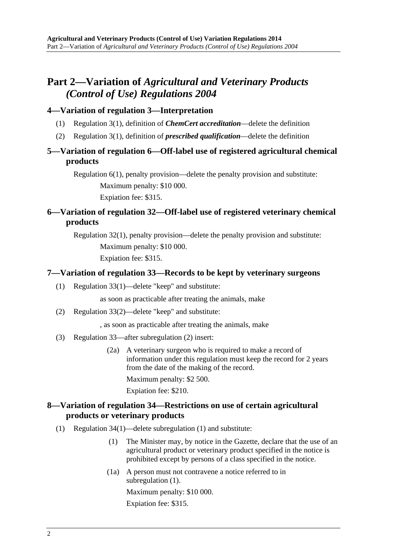## <span id="page-1-0"></span>**Part 2—Variation of** *Agricultural and Veterinary Products (Control of Use) Regulations 2004*

### **4—Variation of regulation 3—Interpretation**

- (1) Regulation 3(1), definition of *ChemCert accreditation*—delete the definition
- (2) Regulation 3(1), definition of *prescribed qualification*—delete the definition

## **5—Variation of regulation 6—Off-label use of registered agricultural chemical products**

Regulation 6(1), penalty provision—delete the penalty provision and substitute: Maximum penalty: \$10 000. Expiation fee: \$315.

## **6—Variation of regulation 32—Off-label use of registered veterinary chemical products**

Regulation 32(1), penalty provision—delete the penalty provision and substitute: Maximum penalty: \$10 000. Expiation fee: \$315.

#### **7—Variation of regulation 33—Records to be kept by veterinary surgeons**

(1) Regulation 33(1)—delete "keep" and substitute:

as soon as practicable after treating the animals, make

(2) Regulation 33(2)—delete "keep" and substitute:

, as soon as practicable after treating the animals, make

- (3) Regulation 33—after subregulation (2) insert:
	- (2a) A veterinary surgeon who is required to make a record of information under this regulation must keep the record for 2 years from the date of the making of the record. Maximum penalty: \$2 500.

Expiation fee: \$210.

### **8—Variation of regulation 34—Restrictions on use of certain agricultural products or veterinary products**

- (1) Regulation 34(1)—delete subregulation (1) and substitute:
	- (1) The Minister may, by notice in the Gazette, declare that the use of an agricultural product or veterinary product specified in the notice is prohibited except by persons of a class specified in the notice.
	- (1a) A person must not contravene a notice referred to in [subregulation \(1\).](#page-1-0) Maximum penalty: \$10 000. Expiation fee: \$315.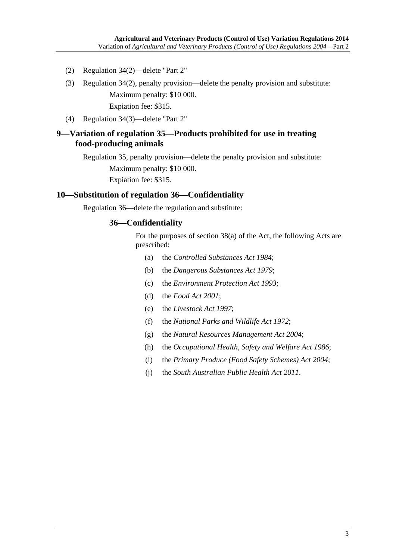- <span id="page-2-0"></span>(2) Regulation 34(2)—delete "Part 2"
- (3) Regulation 34(2), penalty provision—delete the penalty provision and substitute: Maximum penalty: \$10 000. Expiation fee: \$315.
- (4) Regulation 34(3)—delete "Part 2"

#### **9—Variation of regulation 35—Products prohibited for use in treating food-producing animals**

Regulation 35, penalty provision—delete the penalty provision and substitute: Maximum penalty: \$10 000. Expiation fee: \$315.

#### **10—Substitution of regulation 36—Confidentiality**

Regulation 36—delete the regulation and substitute:

#### **36—Confidentiality**

For the purposes of section 38(a) of the Act, the following Acts are prescribed:

- (a) the *[Controlled Substances Act 1984](http://www.legislation.sa.gov.au/index.aspx?action=legref&type=act&legtitle=Controlled%20Substances%20Act%201984)*;
- (b) the *[Dangerous Substances Act 1979](http://www.legislation.sa.gov.au/index.aspx?action=legref&type=act&legtitle=Dangerous%20Substances%20Act%201979)*;
- (c) the *[Environment Protection Act 1993](http://www.legislation.sa.gov.au/index.aspx?action=legref&type=act&legtitle=Environment%20Protection%20Act%201993)*;
- (d) the *[Food Act 2001](http://www.legislation.sa.gov.au/index.aspx?action=legref&type=act&legtitle=Food%20Act%202001)*;
- (e) the *[Livestock Act 1997](http://www.legislation.sa.gov.au/index.aspx?action=legref&type=act&legtitle=Livestock%20Act%201997)*;
- (f) the *[National Parks and Wildlife Act 1972](http://www.legislation.sa.gov.au/index.aspx?action=legref&type=act&legtitle=National%20Parks%20and%20Wildlife%20Act%201972)*;
- (g) the *[Natural Resources Management Act 2004](http://www.legislation.sa.gov.au/index.aspx?action=legref&type=act&legtitle=Natural%20Resources%20Management%20Act%202004)*;
- (h) the *[Occupational Health, Safety and Welfare Act 1986](http://www.legislation.sa.gov.au/index.aspx?action=legref&type=act&legtitle=Occupational%20Health%20Safety%20and%20Welfare%20Act%201986)*;
- (i) the *[Primary Produce \(Food Safety Schemes\) Act 2004](http://www.legislation.sa.gov.au/index.aspx?action=legref&type=act&legtitle=Primary%20Produce%20(Food%20Safety%20Schemes)%20Act%202004)*;
- (j) the *[South Australian Public Health Act 2011](http://www.legislation.sa.gov.au/index.aspx?action=legref&type=act&legtitle=South%20Australian%20Public%20Health%20Act%202011)*.